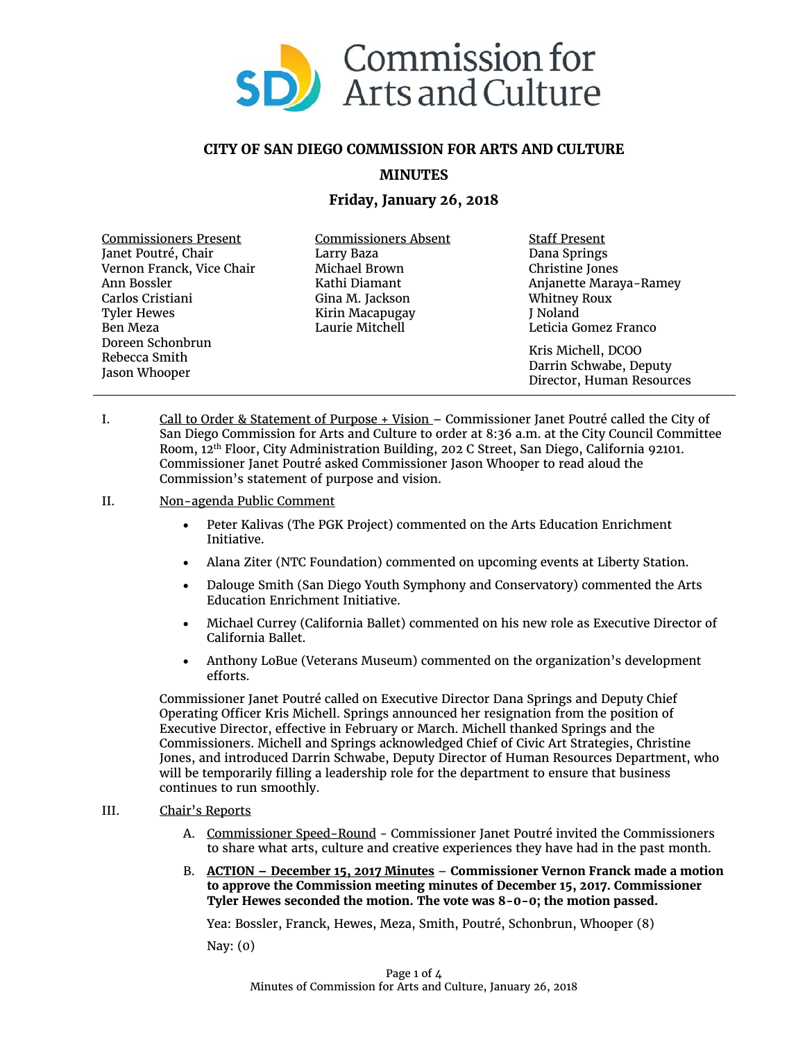

# **CITY OF SAN DIEGO COMMISSION FOR ARTS AND CULTURE**

## **MINUTES**

## **Friday, January 26, 2018**

| <b>Commissioners Present</b> | <b>Commissioners Absent</b> | <b>Staff Present</b>      |
|------------------------------|-----------------------------|---------------------------|
| Janet Poutré, Chair          | Larry Baza                  | Dana Springs              |
| Vernon Franck, Vice Chair    | Michael Brown               | Christine Jones           |
| Ann Bossler                  | Kathi Diamant               | Anjanette Maraya-Ramey    |
| Carlos Cristiani             | Gina M. Jackson             | <b>Whitney Roux</b>       |
| <b>Tyler Hewes</b>           | Kirin Macapugay             | J Noland                  |
| Ben Meza                     | Laurie Mitchell             | Leticia Gomez Franco      |
| Doreen Schonbrun             |                             |                           |
| Rebecca Smith                |                             | Kris Michell, DCOO        |
|                              |                             | Darrin Schwabe, Deputy    |
| Jason Whooper                |                             | Director, Human Resources |

- I. Call to Order & Statement of Purpose + Vision Commissioner Janet Poutré called the City of San Diego Commission for Arts and Culture to order at 8:36 a.m. at the City Council Committee Room, 12th Floor, City Administration Building, 202 C Street, San Diego, California 92101. Commissioner Janet Poutré asked Commissioner Jason Whooper to read aloud the Commission's statement of purpose and vision.
- II. Non-agenda Public Comment
	- Peter Kalivas (The PGK Project) commented on the Arts Education Enrichment Initiative.
	- Alana Ziter (NTC Foundation) commented on upcoming events at Liberty Station.
	- Dalouge Smith (San Diego Youth Symphony and Conservatory) commented the Arts Education Enrichment Initiative.
	- Michael Currey (California Ballet) commented on his new role as Executive Director of California Ballet.
	- Anthony LoBue (Veterans Museum) commented on the organization's development efforts.

Commissioner Janet Poutré called on Executive Director Dana Springs and Deputy Chief Operating Officer Kris Michell. Springs announced her resignation from the position of Executive Director, effective in February or March. Michell thanked Springs and the Commissioners. Michell and Springs acknowledged Chief of Civic Art Strategies, Christine Jones, and introduced Darrin Schwabe, Deputy Director of Human Resources Department, who will be temporarily filling a leadership role for the department to ensure that business continues to run smoothly.

### III. Chair's Reports

- A. Commissioner Speed-Round Commissioner Janet Poutré invited the Commissioners to share what arts, culture and creative experiences they have had in the past month.
- B. **ACTION – December 15, 2017 Minutes Commissioner Vernon Franck made a motion to approve the Commission meeting minutes of December 15, 2017. Commissioner Tyler Hewes seconded the motion. The vote was 8-0-0; the motion passed.**

Yea: Bossler, Franck, Hewes, Meza, Smith, Poutré, Schonbrun, Whooper (8)

Nay: (0)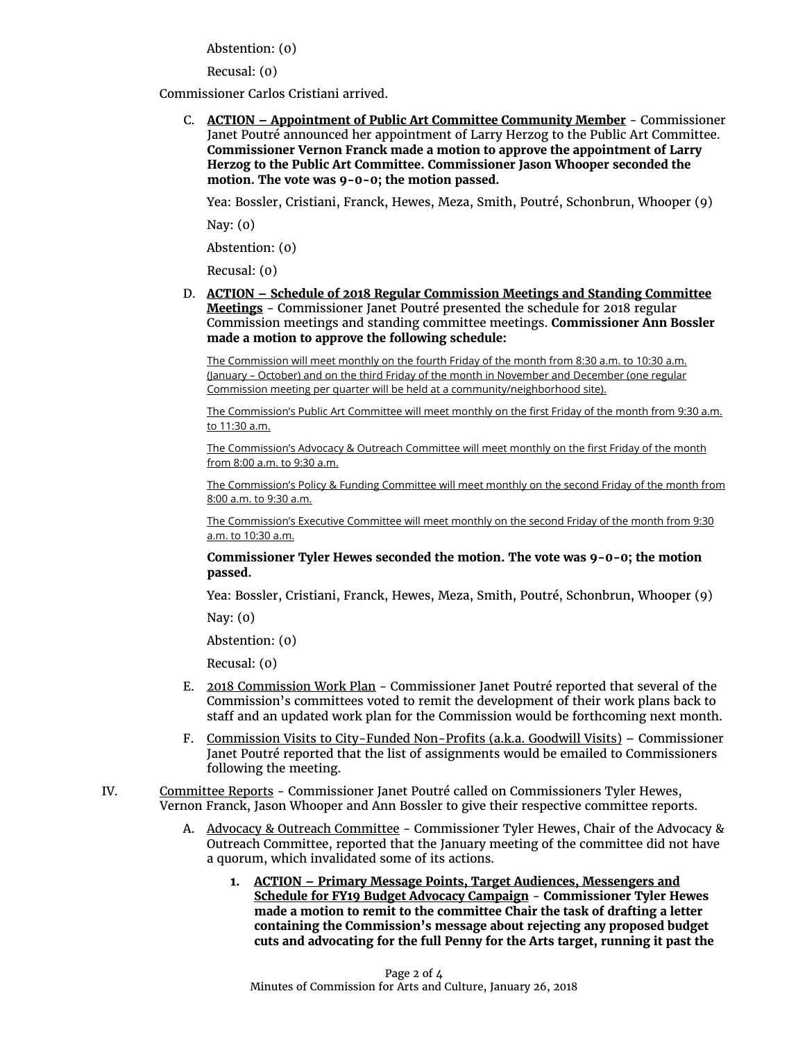Abstention: (0)

Recusal: (0)

Commissioner Carlos Cristiani arrived.

C. **ACTION – Appointment of Public Art Committee Community Member** - Commissioner Janet Poutré announced her appointment of Larry Herzog to the Public Art Committee. **Commissioner Vernon Franck made a motion to approve the appointment of Larry Herzog to the Public Art Committee. Commissioner Jason Whooper seconded the motion. The vote was 9-0-0; the motion passed.**

Yea: Bossler, Cristiani, Franck, Hewes, Meza, Smith, Poutré, Schonbrun, Whooper (9)

Nay: (0)

Abstention: (0)

Recusal: (0)

D. **ACTION – Schedule of 2018 Regular Commission Meetings and Standing Committee Meetings** - Commissioner Janet Poutré presented the schedule for 2018 regular Commission meetings and standing committee meetings. **Commissioner Ann Bossler made a motion to approve the following schedule:** 

The Commission will meet monthly on the fourth Friday of the month from 8:30 a.m. to 10:30 a.m. (January – October) and on the third Friday of the month in November and December (one regular Commission meeting per quarter will be held at a community/neighborhood site).

The Commission's Public Art Committee will meet monthly on the first Friday of the month from 9:30 a.m. to 11:30 a.m.

The Commission's Advocacy & Outreach Committee will meet monthly on the first Friday of the month from 8:00 a.m. to 9:30 a.m.

The Commission's Policy & Funding Committee will meet monthly on the second Friday of the month from 8:00 a.m. to 9:30 a.m.

The Commission's Executive Committee will meet monthly on the second Friday of the month from 9:30 a.m. to 10:30 a.m.

#### **Commissioner Tyler Hewes seconded the motion. The vote was 9-0-0; the motion passed.**

Yea: Bossler, Cristiani, Franck, Hewes, Meza, Smith, Poutré, Schonbrun, Whooper (9)

Nav:  $(0)$ 

Abstention: (0)

Recusal: (0)

- E. 2018 Commission Work Plan Commissioner Janet Poutré reported that several of the Commission's committees voted to remit the development of their work plans back to staff and an updated work plan for the Commission would be forthcoming next month.
- F. Commission Visits to City-Funded Non-Profits (a.k.a. Goodwill Visits) Commissioner Janet Poutré reported that the list of assignments would be emailed to Commissioners following the meeting.
- IV. Committee Reports Commissioner Janet Poutré called on Commissioners Tyler Hewes, Vernon Franck, Jason Whooper and Ann Bossler to give their respective committee reports.
	- A. Advocacy & Outreach Committee Commissioner Tyler Hewes, Chair of the Advocacy & Outreach Committee, reported that the January meeting of the committee did not have a quorum, which invalidated some of its actions.
		- **1. ACTION – Primary Message Points, Target Audiences, Messengers and Schedule for FY19 Budget Advocacy Campaign** - **Commissioner Tyler Hewes made a motion to remit to the committee Chair the task of drafting a letter containing the Commission's message about rejecting any proposed budget cuts and advocating for the full Penny for the Arts target, running it past the**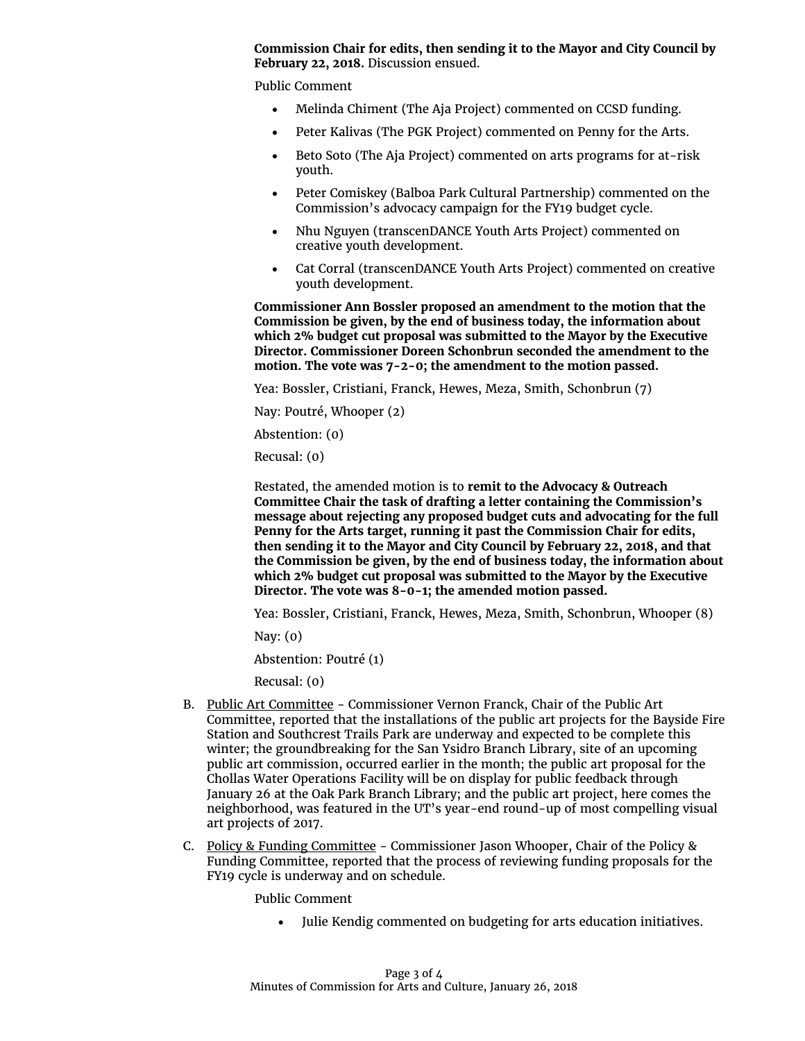### **Commission Chair for edits, then sending it to the Mayor and City Council by February 22, 2018.** Discussion ensued.

Public Comment

- Melinda Chiment (The Aja Project) commented on CCSD funding.
- Peter Kalivas (The PGK Project) commented on Penny for the Arts.
- Beto Soto (The Aja Project) commented on arts programs for at-risk youth.
- Peter Comiskey (Balboa Park Cultural Partnership) commented on the Commission's advocacy campaign for the FY19 budget cycle.
- Nhu Nguyen (transcenDANCE Youth Arts Project) commented on creative youth development.
- Cat Corral (transcenDANCE Youth Arts Project) commented on creative youth development.

**Commissioner Ann Bossler proposed an amendment to the motion that the Commission be given, by the end of business today, the information about which 2% budget cut proposal was submitted to the Mayor by the Executive Director. Commissioner Doreen Schonbrun seconded the amendment to the motion. The vote was 7-2-0; the amendment to the motion passed.**

Yea: Bossler, Cristiani, Franck, Hewes, Meza, Smith, Schonbrun (7)

Nay: Poutré, Whooper (2)

Abstention: (0)

Recusal: (0)

Restated, the amended motion is to **remit to the Advocacy & Outreach Committee Chair the task of drafting a letter containing the Commission's message about rejecting any proposed budget cuts and advocating for the full Penny for the Arts target, running it past the Commission Chair for edits, then sending it to the Mayor and City Council by February 22, 2018, and that the Commission be given, by the end of business today, the information about which 2% budget cut proposal was submitted to the Mayor by the Executive Director. The vote was 8-0-1; the amended motion passed.**

Yea: Bossler, Cristiani, Franck, Hewes, Meza, Smith, Schonbrun, Whooper (8)

Nay: (0)

Abstention: Poutré (1)

Recusal: (0)

- B. Public Art Committee Commissioner Vernon Franck, Chair of the Public Art Committee, reported that the installations of the public art projects for the Bayside Fire Station and Southcrest Trails Park are underway and expected to be complete this winter; the groundbreaking for the San Ysidro Branch Library, site of an upcoming public art commission, occurred earlier in the month; the public art proposal for the Chollas Water Operations Facility will be on display for public feedback through January 26 at the Oak Park Branch Library; and the public art project, here comes the neighborhood, was featured in the UT's year-end round-up of most compelling visual art projects of 2017.
- C. Policy & Funding Committee Commissioner Jason Whooper, Chair of the Policy & Funding Committee, reported that the process of reviewing funding proposals for the FY19 cycle is underway and on schedule.

Public Comment

• Julie Kendig commented on budgeting for arts education initiatives.